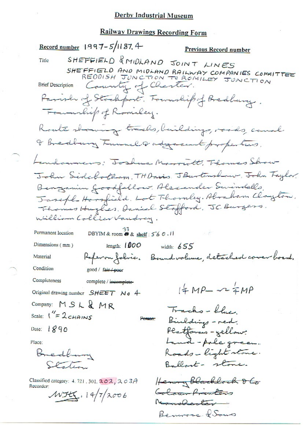#### Railway Drawings Recording Form

Record number  $1997 - 5/1187$ . 4 Previous Record number SHEFFIELD & MIDLAND JOINT LINES Title SHEFFIELD AND MIDLAND RAILWAY COMPANIES COMMITTEE County of Cherter. **Brief Description** Parish of Stockport. Fourthip of Bredburg. Foundrip of Romeley. Roate showing tracks, buildings, roads, canal I Bredbury Tunnel & adyacent properties. Landounces: Joshua Marriott, Thomas Show John Sidebotham. THDavis. JBurtenshaw, John Taylor. Bengamin Goodfellow. Alexander Swindells. Jaseph Horsfield. Lot Thornley. Abraham Clayton. Thomas Hughes, Daniel Stafford. JC Burgers. William Collier Vandrey. DBYIM & room  $\bullet$  & shelf : 56 0.11 Permanent location Dimensions (mm) length:  $1000$ width:  $655$ Raferon folice. Bound volume, detached cover board. Material Condition good / fair / poor Completeness complete / incomplete- $|4MP - x4MP$ Original drawing number SHEET No 4 Company: MSL&MR Tracks-blue. Scale:  $1'' = 2c$ HAINS Binlding - red. **Person** Date:  $1890$ Platforms - yellow:<br>Land - pale green. Place: Roads-light stone. Bredham Station Ballart- stone. Henry Blackbock 8 Co Classified category: 4, 721, 301,  $202$ ,  $203A$ Recorder: Goloan fronters  $WJtG.14/7/2006$ Namelsoter Bennose & Sons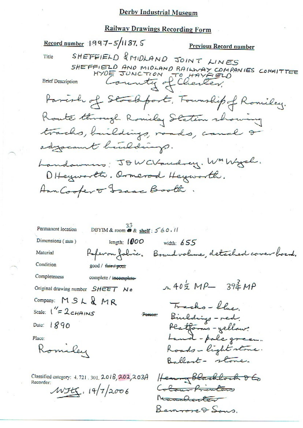# **Railway Drawings Recording Form**

Record number 1997-5/1187. 5 Previous Record number SHEFFIELD & MIDLAND JOINT LINES Title SHEFFIELD AND MIDLAND RAILWAY COMPANIES COMMITTEE<br>HYDE JUNCTION TO HAYFIELD<br>Lournty of Cherter, **Brief Description** Parish of Stacksport, Fourship of Romiley. Route through Romiclay Station rhowing tracks, buildings, roads, canal or adjocement hinldings. Landowners: JOWCVandrey. WMWych. OHeyworth. Ormerod Heyworth. Ann Coopert France Booth. DBYIM & room  $\otimes$  & shelf:  $560.11$ Permanent location Dimensions (mm) length:  $1000$ width:  $655$ Referan fabric. Bound valume, detached cover board. Material Condition good / fair poor Completeness complete / incomplete- $40\frac{2}{3}MP - 39\frac{2}{7}MP$ Original drawing number SHEET No Company: MSL & MR Tracho-lles Scale:  $1'' = 2c$ HAINS Birldings - red. Person: Date:  $1890$ Platforms-yellow. Land-pole green. Place: Romiley Roads-light stone. Ballast - stone. Heavy Blacklock 860 Classified category: 4, 721, 301, 2018, 202, 203A Recorder: Colour Printers  $WFEC. 19/7/2006$ Nanchester

Benrose & Sons.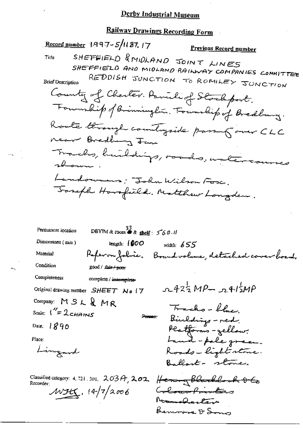# Railway Drawings Recording Form

Record number 1997-5/1187.17

Previous Record number

Title

SHEFFIELD & MIDLAND JOINT LINES SHEFFIELD AND MIDLAND RAILWAY COMPANIES COMMITTEE

REDDISH JUNCTION TO ROMILEY JUNCTION **Brief Description** 

County of Charler. Parish of Stockport. Foundip of Brinninglan. Foundip of Bredburg. Route through countryside pass form CLC near Bredhing Jam Tracks, huilding, roads, waters umes Landowners; John Wilson Fosc. Toseph Horsfield, Nortthew Longden.

DBYIM & room  $\overset{33}{\bullet}$  & shelf:  $5'$ 60.11 Permanent location Dimensions  $(mn)$ length:  $1000$ width:  $655$ Referan folice. Bound volume, detached cover board, Material Condition good / fair + poor Completeness complete / incomplete- $-42\frac{1}{2}MP - 241\frac{1}{2}MP$ Original drawing number SHEET No 17 Company: MSL&MR Tracks - blue Scale:  $1'' = 2c$ HAINS Person-Birlding - red. Date:  $1890$ Platforms - yellow: Land-pole green. Place: Lingard Roads-lightestone. Ballart- stone. Henry Blacklock DEs Classified category: 4, 721, 301,  $203A$ ,  $202$ Recorder:  $MHK.14/7/2006$ Colour Printers Manderland Bennoise D Song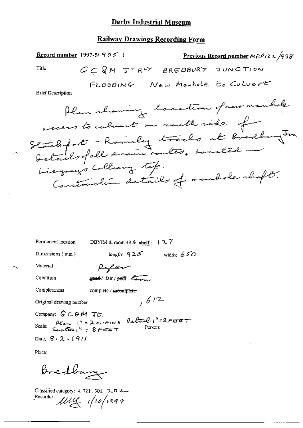### **Railway Drawings Recording Form**

Record number 1997-5/ $905.1$ Previous Record number  $A \wedge B$  (3 2 /998) GC QM JTRIX BREDBURY JUNCTION Title FLOODING New Manhole to Colvert **Brief Description** Plan showing location of new manhole access to calment on routh ride of Stadtfort - Romely tracks at Breaking Jon. Liegues Colliany tip.<br>Construction details of mombole shaft.

Permanent location

DBYIM & room 49 & shelf:  $12.7$ 

Dimensions (mm)

length:  $925$  width:  $650$ 

 $,612$ 

Material

Poper good fair post low.

Condition

Completeness

complete / incomplete

Original drawing number

Company:  $G C \Theta M$  Tt. Scale:  $\frac{\rho_{\ell+m}}{\sum_{\ell\in\mathcal{L}}\sqrt{n}}$   $\frac{1}{n}$  =  $\frac{\rho_{\ell+m}}{\sqrt{n}}$  =  $\frac{\rho_{\ell+m}}{\sqrt{n}}$  =  $\frac{\rho_{\ell+m}}{\sqrt{n}}$  =  $\frac{\rho_{\ell+m}}{\sqrt{n}}$  =  $\frac{\rho_{\ell+m}}{\sqrt{n}}$  =  $\frac{\rho_{\ell+m}}{\sqrt{n}}$  =  $\frac{\rho_{\ell+m}}{\sqrt{n}}$  =  $\frac{\rho_{\ell+m}}{\sqrt{n}}$  =  $\frac{\rho_{\ell+m}}{\sqrt{n}}$  =  $\frac{\rho_{\ell+m}}{\$ 

Date:  $8.2.1911$ 

Place:

Bredburg

Classified category:  $4.721$ ,  $301$ ,  $2.02$ Recorder Ully 1/10/1999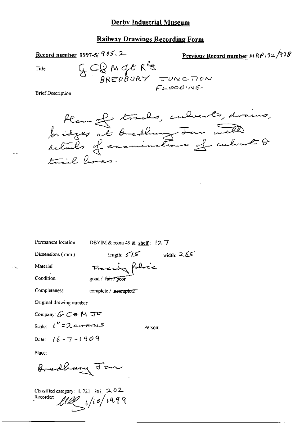# **Railway Drawings Recording Form**

Record number 1997-5/ 905.2 Previous Record number  $MRP/32/998$ G CRM GERES JUNCTION Tide FLOODING

**Brief Description** 



Permanent location

DBYIM & room 49 & shelf: 127

Dimensions (mm)

 $\begin{array}{ccc} \n\text{length:} & \leq I \leq & \text{width:} & 2.65\n\end{array}$ 

Condition

Material

Tracely folice good / fair / poor

Completeness

complete / incomplete"

Original drawing number

Company:  $G \subset \nabla$   $\mathfrak{h}$   $\Lambda$   $\mathfrak{T}^{\mathbf{C}}$ Scale:  $t''=2$  cHAINS

Date:  $16 - 7 - 1909$ 

Person:

Place:

Bredhary Fen

Classified category:  $4, 721, 301, 2, 02$ Recorder:  $Ull  $1/10/1999$$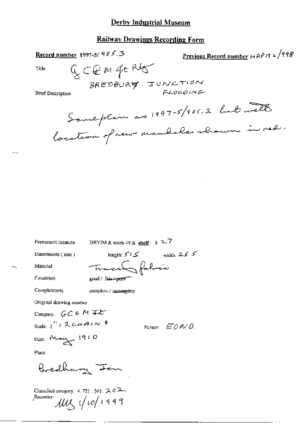# **Railway Drawings Recording Form**

<u>Previous Record number</u>  $MRP$  13  $\approx$  /998 Record number 1997-5/ 905.3  $G < e$  m gentles Title BREDBURG JUNCTION  $FAOOINC$ **Brief Description** 

Somephen as 1997-5/905.2 but well location of new manholes shown in red.

Permanent location

DBYIM & room 49 & shelf:  $1.2$ 

Trace folice

 $\text{length:}~\text{$\leq t \leq$} \qquad \qquad \text{width:}~\;2.6~\text{$\leq$}$ 

Dimensions (mm)

Material Condition

good / fair+poor

Completeness

complete / incomplete

Original drawing number

Company,  $GC \otimes M \uplus E$ Scale:  $i^{\prime\prime}$  2 c++AIN 3

Date: May 1910

Place:

Bredhary Jen

Classified category: 4, 721, 301,  $202$ Recorder My 1/10/1999

Person:  $EOMO$ .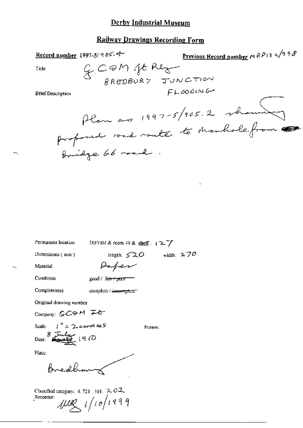# **Railway Drawings Recording Form**

Previous Record number  $MRP_{13} = \sqrt{2.58}$ Record number 1997-5/ 905.4-GCOM JERRY Title BREDBURY JUNCTION  $FLOODING$ **Brief Description** Plan and 1997-5/905.2 show proposed road route to Manhole from Bridge 66 road

Permanent location

DBYIM & room 49 & shelf:  $(27)$ 

Dimensions (mm)

length;  $520$  width:  $270$ Paper

Condition

Material

Completeness

complete / incomplete-

good / fair / poor

Original drawing number

Company:  $G C \Theta M$   $\overline{L}$ 

Scale:  $1'' = 2.47985$ Date:  $8 \frac{1}{440}$  (9.10)

Person:

Place:

Bredhan

Classified category:  $4, 721, 301, 2, 02$ .  $\mu$ ug  $_{l}/$ 10/1999 Recorder: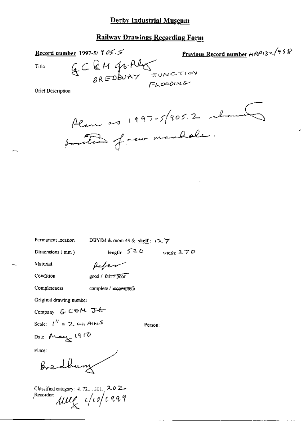# Railway Drawings Recording Form

Record number 1997-5/  $905.5$ GC QM GERRENT SUNCTION Title

Previous Record number  $HRP132/958$ 

**Brief Description** 

Plan as 1997-5/905.2 mbm

Permanent location

DBYIM & room 49 & shelf: 127

Dimensions (mm)

length:  $520$  width:  $270$ 

Material

Condition

good / fair / poor

Paper

Completeness

complete / incomplete

Original drawing number

Company:  $G$  COM  $J$ <sup>e</sup>

Scale:  $l^{\prime l} = 2 c_H A m S$ 

Person:

Date: May 1910

Place:

Bredhun

Classified category: 4, 721, 301, 2.0 2. ung volcaag Recorder: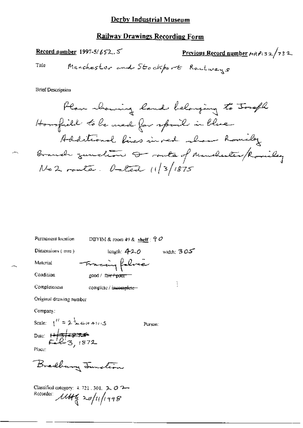# **Railway Drawings Recording Form**

Record number 1997-5/652,5 Previous Record number MRPI32/732

Manchester and Stockhort Rachways Title

**Brief Description** 

| Permanent location                                          | DBYIM & room 49 & shelf : $90$ |              |
|-------------------------------------------------------------|--------------------------------|--------------|
| Dimensions $(mn)$                                           | length: 420                    | width: $305$ |
| Material                                                    | Fracing folice                 |              |
| Condition                                                   | good / fa <del>ir / poor</del> |              |
| Completeness                                                | complete / incomplete          |              |
| Original drawing number                                     |                                |              |
| Company:                                                    |                                |              |
| Scale: $\int_1^H = 2 \frac{1}{4} \epsilon + 4 \pi \epsilon$ | Person:                        |              |
| Date: $\frac{177775}{1223}$                                 |                                |              |
| Place:                                                      |                                |              |

Bradbury Junction

Classified category: 4.721.301. 2.02.<br>Recorder:  $\mathcal{M}H_4^2$  2.0/11/1998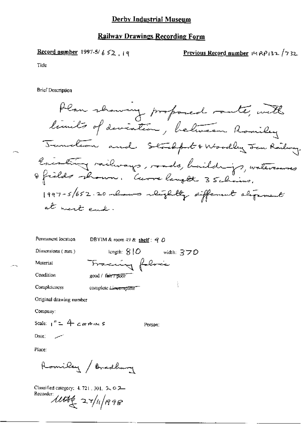#### Railway Drawings Recording Form

Record number 1997-5/652, 19

Previous Record number  $M \beta$ 132 /732

Title

Brief Description

Plan showing proposed route, with limits of deviation, between Ramiley Termstean and Stadph Woodby Jen Railway. Enisting vailways, vouds, baildings, watercourses<br>Ofields shown, Currelayet 35 chains. 1997-5/652.20 remos reighbly different alignment at went each.

Permanent location DBYIM & room 49 & shelf:  $90$ Dimensions (mm) length:  $810$  width:  $370$ Tracing folocie Material

Condition

Completeness complete Lineomplete

good / fair 7 poor

Original drawing number

Company:

Scale:  $1'' = 4$  carriers

Person:

ł

Date:

Place:

Romiley / Bredhary

Classified category: 4, 721, 301, 2, 0.2-Recorder: 11046 27/11/1998